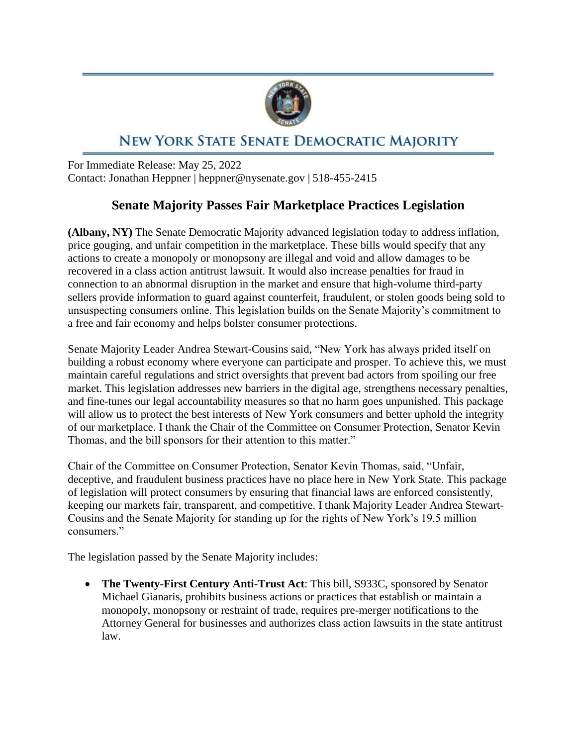

## NEW YORK STATE SENATE DEMOCRATIC MAJORITY

For Immediate Release: May 25, 2022 Contact: Jonathan Heppner | heppner@nysenate.gov | 518-455-2415

## **Senate Majority Passes Fair Marketplace Practices Legislation**

**(Albany, NY)** The Senate Democratic Majority advanced legislation today to address inflation, price gouging, and unfair competition in the marketplace. These bills would specify that any actions to create a monopoly or monopsony are illegal and void and allow damages to be recovered in a class action antitrust lawsuit. It would also increase penalties for fraud in connection to an abnormal disruption in the market and ensure that high-volume third-party sellers provide information to guard against counterfeit, fraudulent, or stolen goods being sold to unsuspecting consumers online. This legislation builds on the Senate Majority's commitment to a free and fair economy and helps bolster consumer protections.

Senate Majority Leader Andrea Stewart-Cousins said, "New York has always prided itself on building a robust economy where everyone can participate and prosper. To achieve this, we must maintain careful regulations and strict oversights that prevent bad actors from spoiling our free market. This legislation addresses new barriers in the digital age, strengthens necessary penalties, and fine-tunes our legal accountability measures so that no harm goes unpunished. This package will allow us to protect the best interests of New York consumers and better uphold the integrity of our marketplace. I thank the Chair of the Committee on Consumer Protection, Senator Kevin Thomas, and the bill sponsors for their attention to this matter."

Chair of the Committee on Consumer Protection, Senator Kevin Thomas, said, "Unfair, deceptive, and fraudulent business practices have no place here in New York State. This package of legislation will protect consumers by ensuring that financial laws are enforced consistently, keeping our markets fair, transparent, and competitive. I thank Majority Leader Andrea Stewart-Cousins and the Senate Majority for standing up for the rights of New York's 19.5 million consumers."

The legislation passed by the Senate Majority includes:

 **The Twenty-First Century Anti-Trust Act**: This bill, S933C, sponsored by Senator Michael Gianaris, prohibits business actions or practices that establish or maintain a monopoly, monopsony or restraint of trade, requires pre-merger notifications to the Attorney General for businesses and authorizes class action lawsuits in the state antitrust law.